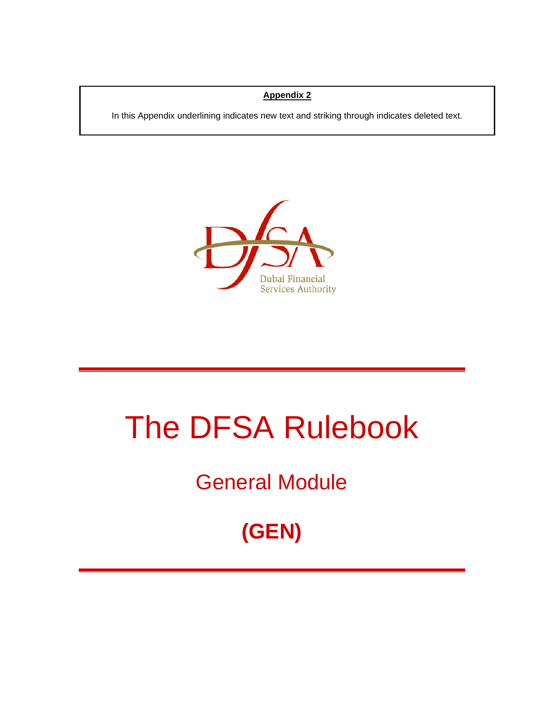#### **Appendix 2**

In this Appendix underlining indicates new text and striking through indicates deleted text.

In this Appendix underlining indicates new text and striking through indicates deleted text.



# The DFSA Rulebook

### General Module

## **(GEN)**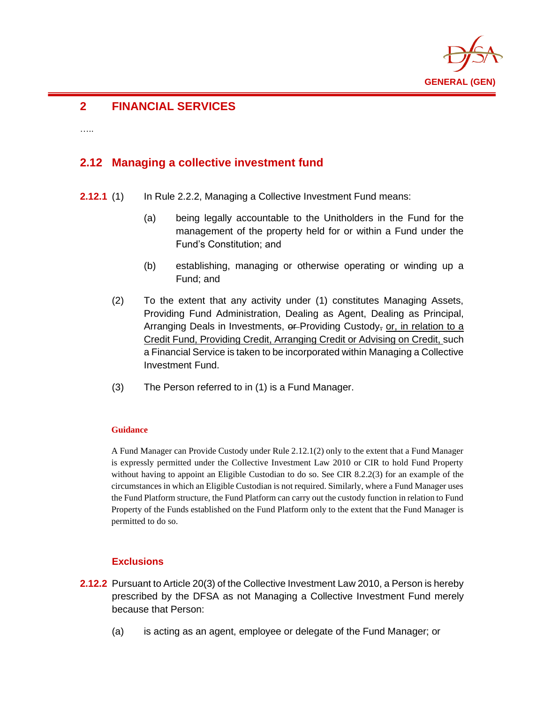

#### **2 FINANCIAL SERVICES**

……

#### **2.12 Managing a collective investment fund**

- **2.12.1** (1) In Rule 2.2.2, Managing a Collective Investment Fund means:
	- (a) being legally accountable to the Unitholders in the Fund for the management of the property held for or within a Fund under the Fund's Constitution; and
	- (b) establishing, managing or otherwise operating or winding up a Fund; and
	- (2) To the extent that any activity under (1) constitutes Managing Assets, Providing Fund Administration, Dealing as Agent, Dealing as Principal, Arranging Deals in Investments, or Providing Custody, or, in relation to a Credit Fund, Providing Credit, Arranging Credit or Advising on Credit, such a Financial Service is taken to be incorporated within Managing a Collective Investment Fund.
	- (3) The Person referred to in (1) is a Fund Manager.

#### **Guidance**

A Fund Manager can Provide Custody under Rule 2.12.1(2) only to the extent that a Fund Manager is expressly permitted under the Collective Investment Law 2010 or CIR to hold Fund Property without having to appoint an Eligible Custodian to do so. See CIR 8.2.2(3) for an example of the circumstances in which an Eligible Custodian is not required. Similarly, where a Fund Manager uses the Fund Platform structure, the Fund Platform can carry out the custody function in relation to Fund Property of the Funds established on the Fund Platform only to the extent that the Fund Manager is permitted to do so.

#### **Exclusions**

- **2.12.2** Pursuant to Article 20(3) of the Collective Investment Law 2010, a Person is hereby prescribed by the DFSA as not Managing a Collective Investment Fund merely because that Person:
	- (a) is acting as an agent, employee or delegate of the Fund Manager; or